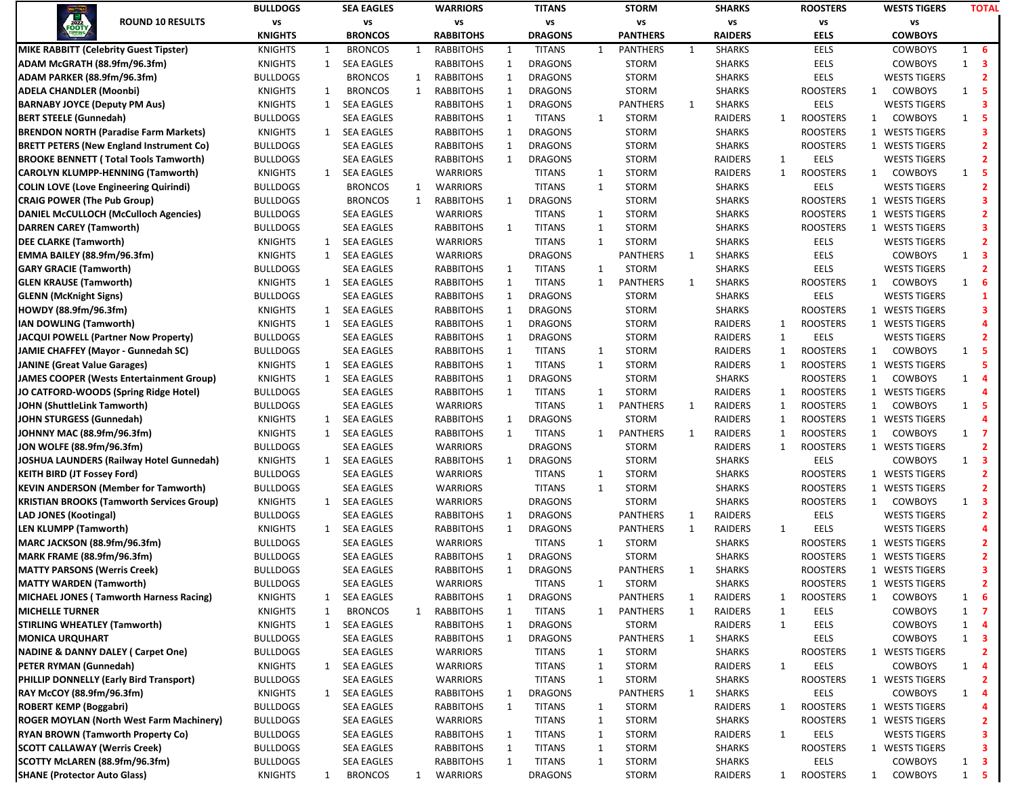|                                                                        |                                                  | <b>BULLDOGS</b> |              | <b>SEA EAGLES</b> |   |                  |              | <b>TITANS</b>  |              | <b>STORM</b>    |              | <b>SHARKS</b>  |              | <b>ROOSTERS</b> | <b>WESTS TIGERS</b>            | <b>TOTAL</b> |                         |
|------------------------------------------------------------------------|--------------------------------------------------|-----------------|--------------|-------------------|---|------------------|--------------|----------------|--------------|-----------------|--------------|----------------|--------------|-----------------|--------------------------------|--------------|-------------------------|
| 2022<br><b>OOTY</b>                                                    | <b>ROUND 10 RESULTS</b>                          | vs              |              | vs                |   | vs               |              | VS             |              | vs              |              | vs             |              | vs              | VS                             |              |                         |
|                                                                        |                                                  | <b>KNIGHTS</b>  |              | <b>BRONCOS</b>    |   | <b>RABBITOHS</b> |              | <b>DRAGONS</b> |              | <b>PANTHERS</b> |              | <b>RAIDERS</b> |              | <b>EELS</b>     | <b>COWBOYS</b>                 |              |                         |
|                                                                        | <b>MIKE RABBITT (Celebrity Guest Tipster)</b>    | <b>KNIGHTS</b>  | $\mathbf{1}$ | <b>BRONCOS</b>    | 1 | <b>RABBITOHS</b> | 1            | <b>TITANS</b>  | 1            | <b>PANTHERS</b> | 1            | <b>SHARKS</b>  |              | <b>EELS</b>     | <b>COWBOYS</b>                 |              | $1\quad 6$              |
| ADAM McGRATH (88.9fm/96.3fm)                                           |                                                  | <b>KNIGHTS</b>  | $\mathbf{1}$ | <b>SEA EAGLES</b> |   | <b>RABBITOHS</b> | $\mathbf{1}$ | <b>DRAGONS</b> |              | <b>STORM</b>    |              | <b>SHARKS</b>  |              | <b>EELS</b>     | <b>COWBOYS</b>                 | 1            | $\overline{\mathbf{3}}$ |
| ADAM PARKER (88.9fm/96.3fm)                                            |                                                  | <b>BULLDOGS</b> |              | <b>BRONCOS</b>    | 1 | <b>RABBITOHS</b> | 1            | <b>DRAGONS</b> |              | <b>STORM</b>    |              | <b>SHARKS</b>  |              | <b>EELS</b>     | <b>WESTS TIGERS</b>            |              | $\mathbf{2}$            |
| <b>ADELA CHANDLER (Moonbi)</b>                                         |                                                  | <b>KNIGHTS</b>  | 1            | <b>BRONCOS</b>    | 1 | <b>RABBITOHS</b> | $\mathbf{1}$ | <b>DRAGONS</b> |              | <b>STORM</b>    |              | <b>SHARKS</b>  |              | <b>ROOSTERS</b> | 1<br><b>COWBOYS</b>            |              | $1\quad 5$              |
| <b>BARNABY JOYCE (Deputy PM Aus)</b>                                   |                                                  | <b>KNIGHTS</b>  | 1            | <b>SEA EAGLES</b> |   | <b>RABBITOHS</b> | 1            | <b>DRAGONS</b> |              | <b>PANTHERS</b> | 1            | <b>SHARKS</b>  |              | <b>EELS</b>     | <b>WESTS TIGERS</b>            |              | 3                       |
| <b>BERT STEELE (Gunnedah)</b>                                          |                                                  | <b>BULLDOGS</b> |              | <b>SEA EAGLES</b> |   | <b>RABBITOHS</b> | 1            | <b>TITANS</b>  | $\mathbf{1}$ | <b>STORM</b>    |              | RAIDERS        | 1            | <b>ROOSTERS</b> | COWBOYS<br>$\mathbf{1}$        |              | $1\quad 5$              |
|                                                                        | <b>BRENDON NORTH (Paradise Farm Markets)</b>     | <b>KNIGHTS</b>  | $\mathbf{1}$ | <b>SEA EAGLES</b> |   | RABBITOHS        | 1            | <b>DRAGONS</b> |              | <b>STORM</b>    |              | <b>SHARKS</b>  |              | <b>ROOSTERS</b> | 1 WESTS TIGERS                 |              | 3                       |
|                                                                        | <b>BRETT PETERS (New England Instrument Co)</b>  | <b>BULLDOGS</b> |              | <b>SEA EAGLES</b> |   | <b>RABBITOHS</b> | 1            | <b>DRAGONS</b> |              | <b>STORM</b>    |              | <b>SHARKS</b>  |              | <b>ROOSTERS</b> | 1 WESTS TIGERS                 |              | $\overline{2}$          |
|                                                                        | <b>BROOKE BENNETT (Total Tools Tamworth)</b>     | <b>BULLDOGS</b> |              | <b>SEA EAGLES</b> |   | <b>RABBITOHS</b> | $\mathbf{1}$ | <b>DRAGONS</b> |              | <b>STORM</b>    |              | RAIDERS        | $\mathbf{1}$ | <b>EELS</b>     | <b>WESTS TIGERS</b>            |              | $\overline{2}$          |
|                                                                        | <b>CAROLYN KLUMPP-HENNING (Tamworth)</b>         | <b>KNIGHTS</b>  | $\mathbf{1}$ | <b>SEA EAGLES</b> |   | <b>WARRIORS</b>  |              | <b>TITANS</b>  | $\mathbf{1}$ | <b>STORM</b>    |              | RAIDERS        | $\mathbf{1}$ | <b>ROOSTERS</b> | <b>COWBOYS</b><br>$\mathbf{1}$ |              | $1\quad 5$              |
|                                                                        | <b>COLIN LOVE (Love Engineering Quirindi)</b>    | <b>BULLDOGS</b> |              | <b>BRONCOS</b>    | 1 | <b>WARRIORS</b>  |              | <b>TITANS</b>  | $\mathbf{1}$ | <b>STORM</b>    |              | <b>SHARKS</b>  |              | EELS            | <b>WESTS TIGERS</b>            |              | $\overline{2}$          |
| <b>CRAIG POWER (The Pub Group)</b>                                     |                                                  | <b>BULLDOGS</b> |              | <b>BRONCOS</b>    | 1 | <b>RABBITOHS</b> | 1            | <b>DRAGONS</b> |              | <b>STORM</b>    |              | <b>SHARKS</b>  |              | <b>ROOSTERS</b> | 1 WESTS TIGERS                 |              | 3                       |
|                                                                        | DANIEL McCULLOCH (McCulloch Agencies)            | <b>BULLDOGS</b> |              | <b>SEA EAGLES</b> |   | <b>WARRIORS</b>  |              | <b>TITANS</b>  | 1            | <b>STORM</b>    |              | <b>SHARKS</b>  |              | <b>ROOSTERS</b> | 1 WESTS TIGERS                 |              | $\overline{2}$          |
| <b>DARREN CAREY (Tamworth)</b>                                         |                                                  | <b>BULLDOGS</b> |              | <b>SEA EAGLES</b> |   | RABBITOHS        | 1            | <b>TITANS</b>  | 1            | <b>STORM</b>    |              | <b>SHARKS</b>  |              | <b>ROOSTERS</b> | 1 WESTS TIGERS                 |              | 3                       |
| <b>DEE CLARKE (Tamworth)</b>                                           |                                                  | <b>KNIGHTS</b>  | 1            | <b>SEA EAGLES</b> |   | <b>WARRIORS</b>  |              | <b>TITANS</b>  | $\mathbf{1}$ | <b>STORM</b>    |              | <b>SHARKS</b>  |              | <b>EELS</b>     | <b>WESTS TIGERS</b>            |              | $\mathbf{2}$            |
| <b>EMMA BAILEY (88.9fm/96.3fm)</b>                                     |                                                  | <b>KNIGHTS</b>  | $\mathbf{1}$ | <b>SEA EAGLES</b> |   | <b>WARRIORS</b>  |              | <b>DRAGONS</b> |              | <b>PANTHERS</b> | 1            | <b>SHARKS</b>  |              | <b>EELS</b>     | <b>COWBOYS</b>                 | $\mathbf{1}$ | $\overline{\mathbf{3}}$ |
| <b>GARY GRACIE (Tamworth)</b>                                          |                                                  | <b>BULLDOGS</b> |              | <b>SEA EAGLES</b> |   | <b>RABBITOHS</b> | 1            | <b>TITANS</b>  | $\mathbf{1}$ | <b>STORM</b>    |              | <b>SHARKS</b>  |              | <b>EELS</b>     | <b>WESTS TIGERS</b>            |              | $\overline{2}$          |
| <b>GLEN KRAUSE (Tamworth)</b>                                          |                                                  | <b>KNIGHTS</b>  |              | 1 SEA EAGLES      |   | <b>RABBITOHS</b> | 1            | <b>TITANS</b>  | $\mathbf{1}$ | <b>PANTHERS</b> | $\mathbf{1}$ | <b>SHARKS</b>  |              | <b>ROOSTERS</b> | <b>COWBOYS</b><br>1            | $\mathbf{1}$ | - 6                     |
| <b>GLENN</b> (McKnight Signs)                                          |                                                  | <b>BULLDOGS</b> |              | <b>SEA EAGLES</b> |   | <b>RABBITOHS</b> | $\mathbf{1}$ | <b>DRAGONS</b> |              | <b>STORM</b>    |              | <b>SHARKS</b>  |              | <b>EELS</b>     | <b>WESTS TIGERS</b>            |              | $\mathbf{1}$            |
| HOWDY (88.9fm/96.3fm)                                                  |                                                  | <b>KNIGHTS</b>  | 1            | <b>SEA EAGLES</b> |   | RABBITOHS        | 1            | <b>DRAGONS</b> |              | <b>STORM</b>    |              | <b>SHARKS</b>  |              | <b>ROOSTERS</b> | 1 WESTS TIGERS                 |              | 3                       |
| IAN DOWLING (Tamworth)                                                 |                                                  | <b>KNIGHTS</b>  | 1            | <b>SEA EAGLES</b> |   | RABBITOHS        | 1            | <b>DRAGONS</b> |              | <b>STORM</b>    |              | RAIDERS        | 1            | <b>ROOSTERS</b> | 1 WESTS TIGERS                 |              | 4                       |
|                                                                        | JACQUI POWELL (Partner Now Property)             | <b>BULLDOGS</b> |              | <b>SEA EAGLES</b> |   | <b>RABBITOHS</b> | 1            | <b>DRAGONS</b> |              | <b>STORM</b>    |              | RAIDERS        | $\mathbf{1}$ | <b>EELS</b>     | <b>WESTS TIGERS</b>            |              | $\mathbf{2}$            |
|                                                                        | JAMIE CHAFFEY (Mayor - Gunnedah SC)              | <b>BULLDOGS</b> |              | <b>SEA EAGLES</b> |   | <b>RABBITOHS</b> | $\mathbf{1}$ | <b>TITANS</b>  | $\mathbf{1}$ | <b>STORM</b>    |              | <b>RAIDERS</b> | 1            | <b>ROOSTERS</b> | <b>COWBOYS</b><br>$\mathbf{1}$ | $\mathbf{1}$ | - 5                     |
| <b>JANINE (Great Value Garages)</b>                                    |                                                  | <b>KNIGHTS</b>  |              | 1 SEA EAGLES      |   | <b>RABBITOHS</b> | 1            | <b>TITANS</b>  | 1            | <b>STORM</b>    |              | RAIDERS        | $\mathbf{1}$ | <b>ROOSTERS</b> | 1 WESTS TIGERS                 |              | 5.                      |
|                                                                        | JAMES COOPER (Wests Entertainment Group)         | <b>KNIGHTS</b>  | 1            | <b>SEA EAGLES</b> |   | RABBITOHS        | $\mathbf{1}$ | <b>DRAGONS</b> |              | <b>STORM</b>    |              | <b>SHARKS</b>  |              | <b>ROOSTERS</b> | <b>COWBOYS</b><br>$\mathbf{1}$ | $\mathbf{1}$ | $\overline{\mathbf{4}}$ |
|                                                                        | JO CATFORD-WOODS (Spring Ridge Hotel)            | <b>BULLDOGS</b> |              | <b>SEA EAGLES</b> |   | RABBITOHS        | $\mathbf{1}$ | <b>TITANS</b>  | $\mathbf{1}$ | <b>STORM</b>    |              | RAIDERS        | $\mathbf{1}$ | <b>ROOSTERS</b> | 1 WESTS TIGERS                 |              |                         |
| JOHN (ShuttleLink Tamworth)                                            |                                                  | <b>BULLDOGS</b> |              | <b>SEA EAGLES</b> |   | <b>WARRIORS</b>  |              | <b>TITANS</b>  | 1            | <b>PANTHERS</b> | 1            | RAIDERS        | 1            | <b>ROOSTERS</b> | <b>COWBOYS</b><br>1            |              | $1\quad 5$              |
| JOHN STURGESS (Gunnedah)                                               |                                                  | <b>KNIGHTS</b>  | 1            | <b>SEA EAGLES</b> |   | RABBITOHS        | 1            | <b>DRAGONS</b> |              | <b>STORM</b>    |              | RAIDERS        | $\mathbf{1}$ | <b>ROOSTERS</b> | 1 WESTS TIGERS                 |              |                         |
| JOHNNY MAC (88.9fm/96.3fm)                                             |                                                  | <b>KNIGHTS</b>  | 1            | <b>SEA EAGLES</b> |   | RABBITOHS        | 1            | <b>TITANS</b>  | $\mathbf{1}$ | <b>PANTHERS</b> | 1            | RAIDERS        | 1            | <b>ROOSTERS</b> | <b>COWBOYS</b><br>$\mathbf{1}$ |              | $1 \quad 7$             |
| JON WOLFE (88.9fm/96.3fm)                                              |                                                  | <b>BULLDOGS</b> |              | <b>SEA EAGLES</b> |   | <b>WARRIORS</b>  |              | <b>DRAGONS</b> |              | <b>STORM</b>    |              | RAIDERS        | 1            | <b>ROOSTERS</b> | 1 WESTS TIGERS                 |              | $\overline{2}$          |
|                                                                        | JOSHUA LAUNDERS (Railway Hotel Gunnedah)         | <b>KNIGHTS</b>  |              | 1 SEA EAGLES      |   | <b>RABBITOHS</b> | 1            | <b>DRAGONS</b> |              | <b>STORM</b>    |              | <b>SHARKS</b>  |              | <b>EELS</b>     | <b>COWBOYS</b>                 |              | $1 \quad 3$             |
| <b>KEITH BIRD (JT Fossey Ford)</b>                                     |                                                  | <b>BULLDOGS</b> |              | <b>SEA EAGLES</b> |   | <b>WARRIORS</b>  |              | <b>TITANS</b>  | $\mathbf{1}$ | <b>STORM</b>    |              | <b>SHARKS</b>  |              | <b>ROOSTERS</b> | 1 WESTS TIGERS                 |              | $\overline{2}$          |
|                                                                        | <b>KEVIN ANDERSON (Member for Tamworth)</b>      | <b>BULLDOGS</b> |              | <b>SEA EAGLES</b> |   | <b>WARRIORS</b>  |              | <b>TITANS</b>  | $\mathbf{1}$ | <b>STORM</b>    |              | <b>SHARKS</b>  |              | <b>ROOSTERS</b> | 1 WESTS TIGERS                 |              | $\overline{2}$          |
|                                                                        | <b>KRISTIAN BROOKS (Tamworth Services Group)</b> | <b>KNIGHTS</b>  |              | 1 SEA EAGLES      |   | <b>WARRIORS</b>  |              | <b>DRAGONS</b> |              | <b>STORM</b>    |              | <b>SHARKS</b>  |              | <b>ROOSTERS</b> | COWBOYS<br>$\mathbf{1}$        | $\mathbf{1}$ | $\overline{\mathbf{3}}$ |
| <b>LAD JONES (Kootingal)</b>                                           |                                                  | <b>BULLDOGS</b> |              | <b>SEA EAGLES</b> |   | <b>RABBITOHS</b> | 1            | <b>DRAGONS</b> |              | <b>PANTHERS</b> | 1            | RAIDERS        |              | <b>EELS</b>     | <b>WESTS TIGERS</b>            |              | $\overline{2}$          |
| <b>LEN KLUMPP (Tamworth)</b>                                           |                                                  | <b>KNIGHTS</b>  | $\mathbf{1}$ | <b>SEA EAGLES</b> |   | RABBITOHS        | 1            | <b>DRAGONS</b> |              | <b>PANTHERS</b> | 1            | RAIDERS        | 1            | <b>EELS</b>     | <b>WESTS TIGERS</b>            |              | 4                       |
| <b>MARC JACKSON (88.9fm/96.3fm)</b>                                    |                                                  | <b>BULLDOGS</b> |              | <b>SEA EAGLES</b> |   | <b>WARRIORS</b>  |              | <b>TITANS</b>  | 1            | <b>STORM</b>    |              | <b>SHARKS</b>  |              | <b>ROOSTERS</b> | 1 WESTS TIGERS                 |              | $\mathbf{2}$            |
| <b>MARK FRAME (88.9fm/96.3fm)</b>                                      |                                                  | <b>BULLDOGS</b> |              | <b>SEA EAGLES</b> |   | RABBITOHS        | $\mathbf{1}$ | <b>DRAGONS</b> |              | <b>STORM</b>    |              | <b>SHARKS</b>  |              | <b>ROOSTERS</b> | 1 WESTS TIGERS                 |              | $\overline{2}$          |
| <b>MATTY PARSONS (Werris Creek)</b>                                    |                                                  | <b>BULLDOGS</b> |              | <b>SEA EAGLES</b> |   | <b>RABBITOHS</b> | 1            | <b>DRAGONS</b> |              | <b>PANTHERS</b> | 1            | <b>SHARKS</b>  |              | <b>ROOSTERS</b> | 1 WESTS TIGERS                 |              | 3                       |
| <b>MATTY WARDEN (Tamworth)</b>                                         |                                                  | <b>BULLDOGS</b> |              | <b>SEA EAGLES</b> |   | <b>WARRIORS</b>  |              | <b>TITANS</b>  | $\mathbf{1}$ | <b>STORM</b>    |              | <b>SHARKS</b>  |              | <b>ROOSTERS</b> | 1 WESTS TIGERS                 |              | $\mathbf{2}$            |
|                                                                        | MICHAEL JONES (Tamworth Harness Racing)          | <b>KNIGHTS</b>  | $\mathbf{1}$ | <b>SEA EAGLES</b> |   | RABBITOHS        | 1            | <b>DRAGONS</b> |              | <b>PANTHERS</b> | 1            | RAIDERS        | $\mathbf{1}$ | <b>ROOSTERS</b> | <b>COWBOYS</b><br>$\mathbf{1}$ | $\mathbf{1}$ | - 6                     |
| <b>MICHELLE TURNER</b>                                                 |                                                  | <b>KNIGHTS</b>  | 1            | <b>BRONCOS</b>    | 1 | <b>RABBITOHS</b> | 1            | <b>TITANS</b>  | $\mathbf{1}$ | PANTHERS        | 1            | RAIDERS        | $\mathbf{1}$ | <b>EELS</b>     | <b>COWBOYS</b>                 |              | $1 \quad 7$             |
| <b>STIRLING WHEATLEY (Tamworth)</b>                                    |                                                  | <b>KNIGHTS</b>  | 1            | <b>SEA EAGLES</b> |   | <b>RABBITOHS</b> | 1            | <b>DRAGONS</b> |              | <b>STORM</b>    |              | RAIDERS        | 1            | EELS            | <b>COWBOYS</b>                 | $\mathbf{1}$ | $\overline{a}$          |
| <b>MONICA URQUHART</b>                                                 |                                                  | <b>BULLDOGS</b> |              | <b>SEA EAGLES</b> |   | RABBITOHS        | 1            | <b>DRAGONS</b> |              | PANTHERS        | 1            | <b>SHARKS</b>  |              | EELS            | <b>COWBOYS</b>                 |              | $1 \quad 3$             |
|                                                                        | <b>NADINE &amp; DANNY DALEY (Carpet One)</b>     | <b>BULLDOGS</b> |              | <b>SEA EAGLES</b> |   | <b>WARRIORS</b>  |              | <b>TITANS</b>  | $\mathbf{1}$ | <b>STORM</b>    |              | <b>SHARKS</b>  |              | <b>ROOSTERS</b> | 1 WESTS TIGERS                 |              | $\mathbf{2}$            |
| PETER RYMAN (Gunnedah)                                                 |                                                  | <b>KNIGHTS</b>  |              | 1 SEA EAGLES      |   | <b>WARRIORS</b>  |              | <b>TITANS</b>  | $\mathbf{1}$ | <b>STORM</b>    |              | RAIDERS        | $\mathbf{1}$ | EELS            | <b>COWBOYS</b>                 |              | $1 \quad 4$             |
|                                                                        | PHILLIP DONNELLY (Early Bird Transport)          | <b>BULLDOGS</b> |              | <b>SEA EAGLES</b> |   | <b>WARRIORS</b>  |              | <b>TITANS</b>  | $\mathbf{1}$ | <b>STORM</b>    |              | <b>SHARKS</b>  |              | <b>ROOSTERS</b> | 1 WESTS TIGERS                 |              | $\mathbf{2}$            |
| RAY McCOY (88.9fm/96.3fm)                                              |                                                  | <b>KNIGHTS</b>  | $\mathbf{1}$ | <b>SEA EAGLES</b> |   | <b>RABBITOHS</b> | 1            | <b>DRAGONS</b> |              | <b>PANTHERS</b> | 1            | <b>SHARKS</b>  |              | EELS            | <b>COWBOYS</b>                 |              | $1 \quad 4$             |
| <b>ROBERT KEMP (Boggabri)</b>                                          |                                                  | <b>BULLDOGS</b> |              | <b>SEA EAGLES</b> |   | <b>RABBITOHS</b> | 1            | <b>TITANS</b>  | $\mathbf{1}$ | <b>STORM</b>    |              | RAIDERS        | 1            | <b>ROOSTERS</b> | 1 WESTS TIGERS                 |              |                         |
|                                                                        | <b>ROGER MOYLAN (North West Farm Machinery)</b>  | <b>BULLDOGS</b> |              | <b>SEA EAGLES</b> |   | <b>WARRIORS</b>  |              | <b>TITANS</b>  | $\mathbf{1}$ | <b>STORM</b>    |              | <b>SHARKS</b>  |              | <b>ROOSTERS</b> | 1 WESTS TIGERS                 |              | $\mathbf{2}$            |
|                                                                        | <b>RYAN BROWN (Tamworth Property Co)</b>         | <b>BULLDOGS</b> |              | <b>SEA EAGLES</b> |   | <b>RABBITOHS</b> | 1            | <b>TITANS</b>  | $\mathbf{1}$ | <b>STORM</b>    |              | RAIDERS        | $\mathbf{1}$ | <b>EELS</b>     | <b>WESTS TIGERS</b>            |              | 3                       |
| <b>SCOTT CALLAWAY (Werris Creek)</b><br>SCOTTY McLAREN (88.9fm/96.3fm) |                                                  | <b>BULLDOGS</b> |              | <b>SEA EAGLES</b> |   | <b>RABBITOHS</b> | 1<br>1       | <b>TITANS</b>  | 1            | <b>STORM</b>    |              | <b>SHARKS</b>  |              | <b>ROOSTERS</b> | 1 WESTS TIGERS                 |              | 3                       |
|                                                                        |                                                  | <b>BULLDOGS</b> |              | <b>SEA EAGLES</b> |   | <b>RABBITOHS</b> |              | <b>TITANS</b>  | $\mathbf{1}$ | <b>STORM</b>    |              | <b>SHARKS</b>  |              | EELS            | <b>COWBOYS</b>                 |              | $1 \quad 3$             |
| <b>SHANE (Protector Auto Glass)</b>                                    |                                                  | <b>KNIGHTS</b>  | $\mathbf{1}$ | <b>BRONCOS</b>    |   | 1 WARRIORS       |              | <b>DRAGONS</b> |              | <b>STORM</b>    |              | RAIDERS        |              | 1 ROOSTERS      | COWBOYS<br>1                   |              | $1\quad 5$              |